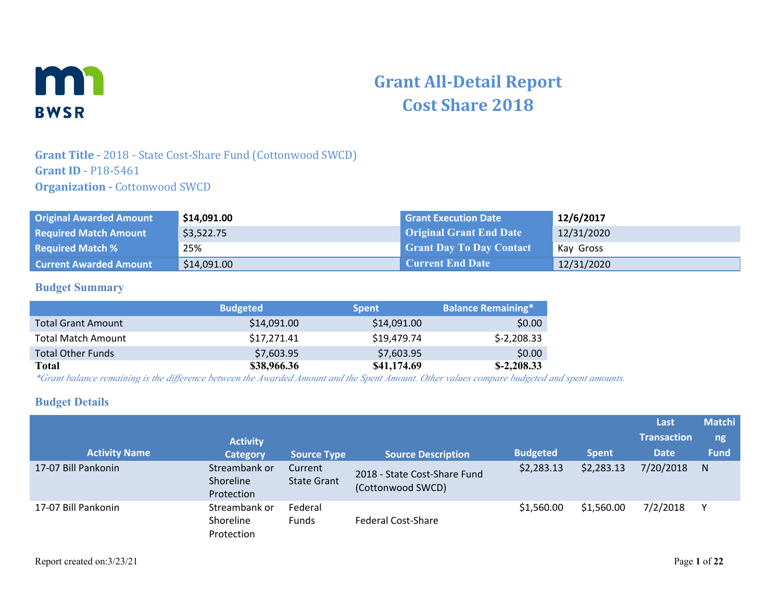

# **Grant All-Detail Report Cost Share 2018**

### **Grant Title -** 2018 - State Cost-Share Fund (Cottonwood SWCD) **Grant ID** - P18-5461 **Organization - Cottonwood SWCD**

| <b>Original Awarded Amount</b> | \$14,091.00 | <b>Grant Execution Date</b>     | 12/6/2017  |
|--------------------------------|-------------|---------------------------------|------------|
| <b>Required Match Amount</b>   | \$3,522.75  | <b>Original Grant End Date</b>  | 12/31/2020 |
| <b>Required Match %</b>        | 25%         | <b>Grant Day To Day Contact</b> | Kay Gross  |
| <b>Current Awarded Amount</b>  | \$14,091.00 | <b>Current End Date</b>         | 12/31/2020 |

### **Budget Summary**

|                           | <b>Budgeted</b> | <b>Spent</b> | <b>Balance Remaining*</b> |
|---------------------------|-----------------|--------------|---------------------------|
| <b>Total Grant Amount</b> | \$14,091.00     | \$14,091.00  | \$0.00                    |
| <b>Total Match Amount</b> | \$17,271.41     | \$19,479.74  | $$-2,208.33$              |
| <b>Total Other Funds</b>  | \$7,603.95      | \$7,603.95   | \$0.00                    |
| Total                     | \$38,966.36     | \$41,174.69  | $$-2,208.33$              |

*\*Grant balance remaining is the difference between the Awarded Amount and the Spent Amount. Other values compare budgeted and spent amounts.*

### **Budget Details**

|                      |                                          |                               |                                                   |                 |              | Last               | <b>Matchi</b> |
|----------------------|------------------------------------------|-------------------------------|---------------------------------------------------|-----------------|--------------|--------------------|---------------|
|                      | <b>Activity</b>                          |                               |                                                   |                 |              | <b>Transaction</b> | ng            |
| <b>Activity Name</b> | <b>Category</b>                          | <b>Source Type</b>            | <b>Source Description</b>                         | <b>Budgeted</b> | <b>Spent</b> | <b>Date</b>        | <b>Fund</b>   |
| 17-07 Bill Pankonin  | Streambank or<br>Shoreline<br>Protection | Current<br><b>State Grant</b> | 2018 - State Cost-Share Fund<br>(Cottonwood SWCD) | \$2,283.13      | \$2,283.13   | 7/20/2018          | N             |
| 17-07 Bill Pankonin  | Streambank or<br>Shoreline<br>Protection | Federal<br><b>Funds</b>       | Federal Cost-Share                                | \$1,560.00      | \$1,560.00   | 7/2/2018           |               |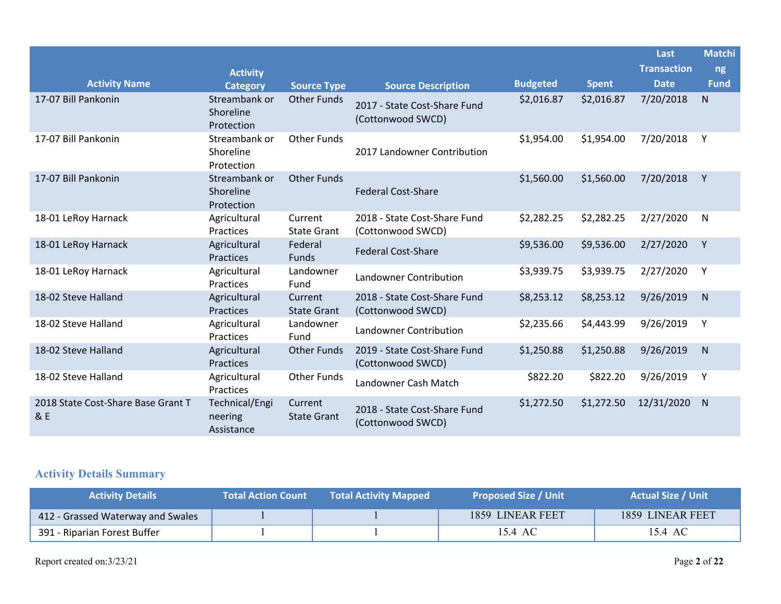|                                           |                                          |                               |                                                   |                 |              | Last               | <b>Matchi</b> |
|-------------------------------------------|------------------------------------------|-------------------------------|---------------------------------------------------|-----------------|--------------|--------------------|---------------|
|                                           | <b>Activity</b>                          |                               |                                                   |                 |              | <b>Transaction</b> | ng            |
| <b>Activity Name</b>                      | <b>Category</b>                          | <b>Source Type</b>            | <b>Source Description</b>                         | <b>Budgeted</b> | <b>Spent</b> | <b>Date</b>        | <b>Fund</b>   |
| 17-07 Bill Pankonin                       | Streambank or<br>Shoreline<br>Protection | <b>Other Funds</b>            | 2017 - State Cost-Share Fund<br>(Cottonwood SWCD) | \$2,016.87      | \$2,016.87   | 7/20/2018          | N             |
| 17-07 Bill Pankonin                       | Streambank or<br>Shoreline<br>Protection | <b>Other Funds</b>            | 2017 Landowner Contribution                       | \$1,954.00      | \$1,954.00   | 7/20/2018          | Y             |
| 17-07 Bill Pankonin                       | Streambank or<br>Shoreline<br>Protection | <b>Other Funds</b>            | <b>Federal Cost-Share</b>                         | \$1,560.00      | \$1,560.00   | 7/20/2018          | Y             |
| 18-01 LeRoy Harnack                       | Agricultural<br>Practices                | Current<br><b>State Grant</b> | 2018 - State Cost-Share Fund<br>(Cottonwood SWCD) | \$2,282.25      | \$2,282.25   | 2/27/2020          | $\mathsf{N}$  |
| 18-01 LeRoy Harnack                       | Agricultural<br>Practices                | Federal<br>Funds              | <b>Federal Cost-Share</b>                         | \$9,536.00      | \$9,536.00   | 2/27/2020          | Y             |
| 18-01 LeRoy Harnack                       | Agricultural<br>Practices                | Landowner<br>Fund             | Landowner Contribution                            | \$3,939.75      | \$3,939.75   | 2/27/2020          | Y             |
| 18-02 Steve Halland                       | Agricultural<br><b>Practices</b>         | Current<br><b>State Grant</b> | 2018 - State Cost-Share Fund<br>(Cottonwood SWCD) | \$8,253.12      | \$8,253.12   | 9/26/2019          | N             |
| 18-02 Steve Halland                       | Agricultural<br>Practices                | Landowner<br>Fund             | Landowner Contribution                            | \$2,235.66      | \$4,443.99   | 9/26/2019          | Y             |
| 18-02 Steve Halland                       | Agricultural<br>Practices                | <b>Other Funds</b>            | 2019 - State Cost-Share Fund<br>(Cottonwood SWCD) | \$1,250.88      | \$1,250.88   | 9/26/2019          | ${\sf N}$     |
| 18-02 Steve Halland                       | Agricultural<br>Practices                | <b>Other Funds</b>            | Landowner Cash Match                              | \$822.20        | \$822.20     | 9/26/2019          | Y             |
| 2018 State Cost-Share Base Grant T<br>& E | Technical/Engi<br>neering<br>Assistance  | Current<br><b>State Grant</b> | 2018 - State Cost-Share Fund<br>(Cottonwood SWCD) | \$1,272.50      | \$1,272.50   | 12/31/2020         | $\mathsf{N}$  |

# **Activity Details Summary**

| <b>Activity Details</b>           | <b>Total Action Count</b> | <b>Total Activity Mapped</b> | <b>Proposed Size / Unit</b> | <b>Actual Size / Unit</b> |
|-----------------------------------|---------------------------|------------------------------|-----------------------------|---------------------------|
| 412 - Grassed Waterway and Swales |                           |                              | 1859 LINEAR FEET            | 1859 LINEAR FEET          |
| 391 - Riparian Forest Buffer      |                           |                              | 15.4 AC                     | 15.4 AC                   |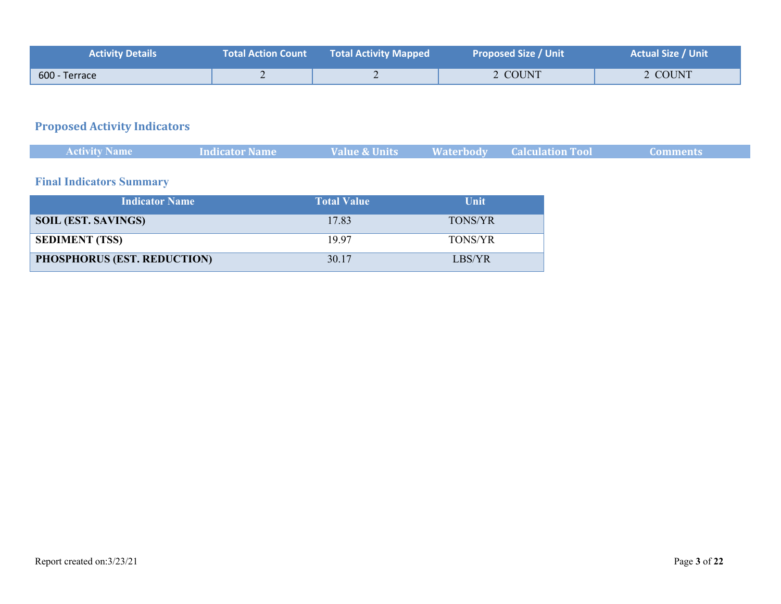| <b>Activity Details</b> | <b>Total Action Count \</b> | Total Activity Mapped | <b>Proposed Size / Unit</b> | <b>Actual Size / Unit</b> |
|-------------------------|-----------------------------|-----------------------|-----------------------------|---------------------------|
| 600 - Terrace           |                             |                       | 2 COUNT                     | 2 COUNT                   |

# **Proposed Activity Indicators**

| <b>Activity Name</b> | Indicator Name | Value & Units | <b>Example 18 Waterbody</b> Calculation Tool | ' Comments |
|----------------------|----------------|---------------|----------------------------------------------|------------|
|                      |                |               |                                              |            |

# **Final Indicators Summary**

| <b>Indicator Name</b>              | <b>Total Value</b> | Unit           |
|------------------------------------|--------------------|----------------|
| <b>SOIL (EST. SAVINGS)</b>         | 17.83              | <b>TONS/YR</b> |
| <b>SEDIMENT (TSS)</b>              | 1997               | <b>TONS/YR</b> |
| <b>PHOSPHORUS (EST. REDUCTION)</b> | 30.17              | LBS/YR         |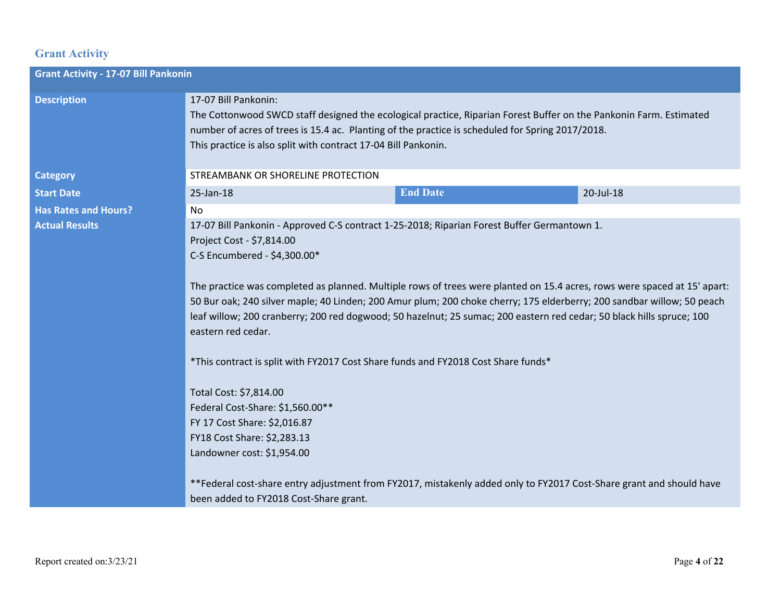# **Grant Activity**

| <b>Grant Activity - 17-07 Bill Pankonin</b> |                                                                                                                                                                                                                                                                                                                                                                                                                                                                                                                                                                                                                                                                                                                                                                                                                                                                                                                                                                                |                 |           |  |  |
|---------------------------------------------|--------------------------------------------------------------------------------------------------------------------------------------------------------------------------------------------------------------------------------------------------------------------------------------------------------------------------------------------------------------------------------------------------------------------------------------------------------------------------------------------------------------------------------------------------------------------------------------------------------------------------------------------------------------------------------------------------------------------------------------------------------------------------------------------------------------------------------------------------------------------------------------------------------------------------------------------------------------------------------|-----------------|-----------|--|--|
| <b>Description</b>                          | 17-07 Bill Pankonin:<br>The Cottonwood SWCD staff designed the ecological practice, Riparian Forest Buffer on the Pankonin Farm. Estimated<br>number of acres of trees is 15.4 ac. Planting of the practice is scheduled for Spring 2017/2018.<br>This practice is also split with contract 17-04 Bill Pankonin.                                                                                                                                                                                                                                                                                                                                                                                                                                                                                                                                                                                                                                                               |                 |           |  |  |
| <b>Category</b>                             | STREAMBANK OR SHORELINE PROTECTION                                                                                                                                                                                                                                                                                                                                                                                                                                                                                                                                                                                                                                                                                                                                                                                                                                                                                                                                             |                 |           |  |  |
| <b>Start Date</b>                           | 25-Jan-18                                                                                                                                                                                                                                                                                                                                                                                                                                                                                                                                                                                                                                                                                                                                                                                                                                                                                                                                                                      | <b>End Date</b> | 20-Jul-18 |  |  |
| <b>Has Rates and Hours?</b>                 | <b>No</b>                                                                                                                                                                                                                                                                                                                                                                                                                                                                                                                                                                                                                                                                                                                                                                                                                                                                                                                                                                      |                 |           |  |  |
| <b>Actual Results</b>                       | 17-07 Bill Pankonin - Approved C-S contract 1-25-2018; Riparian Forest Buffer Germantown 1.<br>Project Cost - \$7,814.00<br>C-S Encumbered - \$4,300.00*<br>The practice was completed as planned. Multiple rows of trees were planted on 15.4 acres, rows were spaced at 15' apart:<br>50 Bur oak; 240 silver maple; 40 Linden; 200 Amur plum; 200 choke cherry; 175 elderberry; 200 sandbar willow; 50 peach<br>leaf willow; 200 cranberry; 200 red dogwood; 50 hazelnut; 25 sumac; 200 eastern red cedar; 50 black hills spruce; 100<br>eastern red cedar.<br>*This contract is split with FY2017 Cost Share funds and FY2018 Cost Share funds*<br>Total Cost: \$7,814.00<br>Federal Cost-Share: \$1,560.00**<br>FY 17 Cost Share: \$2,016.87<br>FY18 Cost Share: \$2,283.13<br>Landowner cost: \$1,954.00<br>**Federal cost-share entry adjustment from FY2017, mistakenly added only to FY2017 Cost-Share grant and should have<br>been added to FY2018 Cost-Share grant. |                 |           |  |  |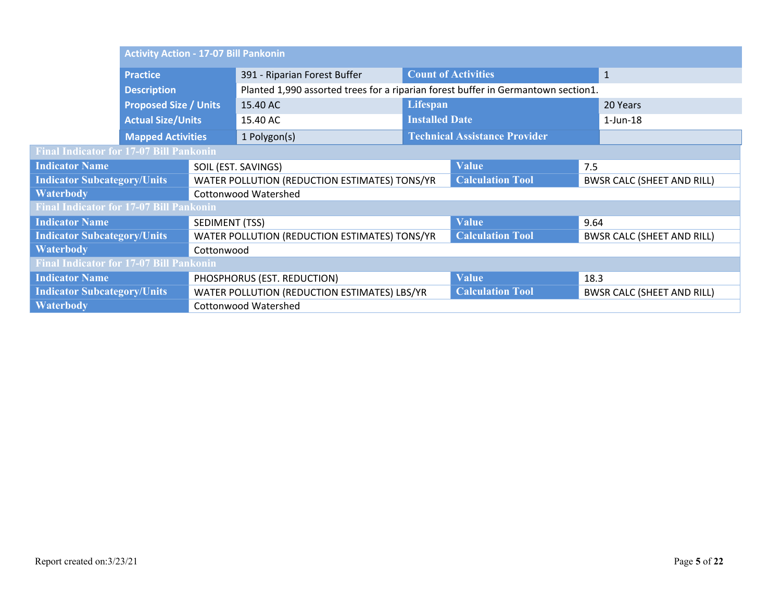|                                                | <b>Activity Action - 17-07 Bill Pankonin</b> |                |                                                                                   |                            |                                      |                                   |                                   |
|------------------------------------------------|----------------------------------------------|----------------|-----------------------------------------------------------------------------------|----------------------------|--------------------------------------|-----------------------------------|-----------------------------------|
|                                                | <b>Practice</b>                              |                | 391 - Riparian Forest Buffer                                                      | <b>Count of Activities</b> |                                      |                                   | $\mathbf{1}$                      |
|                                                | <b>Description</b>                           |                | Planted 1,990 assorted trees for a riparian forest buffer in Germantown section1. |                            |                                      |                                   |                                   |
|                                                | <b>Proposed Size / Units</b>                 |                | 15.40 AC                                                                          | Lifespan                   |                                      |                                   | 20 Years                          |
|                                                | <b>Actual Size/Units</b>                     |                | 15.40 AC                                                                          | <b>Installed Date</b>      |                                      |                                   | $1$ -Jun-18                       |
|                                                | <b>Mapped Activities</b>                     |                | 1 Polygon(s)                                                                      |                            | <b>Technical Assistance Provider</b> |                                   |                                   |
| <b>Final Indicator for 17-07 Bill Pankonin</b> |                                              |                |                                                                                   |                            |                                      |                                   |                                   |
| <b>Indicator Name</b>                          |                                              |                | SOIL (EST. SAVINGS)                                                               |                            | <b>Value</b>                         | 7.5                               |                                   |
| <b>Indicator Subcategory/Units</b>             |                                              |                | WATER POLLUTION (REDUCTION ESTIMATES) TONS/YR                                     |                            | <b>Calculation Tool</b>              | <b>BWSR CALC (SHEET AND RILL)</b> |                                   |
| <b>Waterbody</b>                               |                                              |                | <b>Cottonwood Watershed</b>                                                       |                            |                                      |                                   |                                   |
| <b>Final Indicator for 17-07 Bill Pankonin</b> |                                              |                |                                                                                   |                            |                                      |                                   |                                   |
| <b>Indicator Name</b>                          |                                              | SEDIMENT (TSS) |                                                                                   |                            | Value                                | 9.64                              |                                   |
| <b>Indicator Subcategory/Units</b>             |                                              |                | WATER POLLUTION (REDUCTION ESTIMATES) TONS/YR                                     |                            | <b>Calculation Tool</b>              |                                   | <b>BWSR CALC (SHEET AND RILL)</b> |
| <b>Waterbody</b><br>Cottonwood                 |                                              |                |                                                                                   |                            |                                      |                                   |                                   |
| <b>Final Indicator for 17-07 Bill Pankonin</b> |                                              |                |                                                                                   |                            |                                      |                                   |                                   |
| <b>Indicator Name</b>                          |                                              |                | PHOSPHORUS (EST. REDUCTION)                                                       |                            | <b>Value</b>                         | 18.3                              |                                   |
| <b>Indicator Subcategory/Units</b>             |                                              |                | WATER POLLUTION (REDUCTION ESTIMATES) LBS/YR                                      |                            | <b>Calculation Tool</b>              |                                   | <b>BWSR CALC (SHEET AND RILL)</b> |
| <b>Waterbody</b>                               |                                              |                | <b>Cottonwood Watershed</b>                                                       |                            |                                      |                                   |                                   |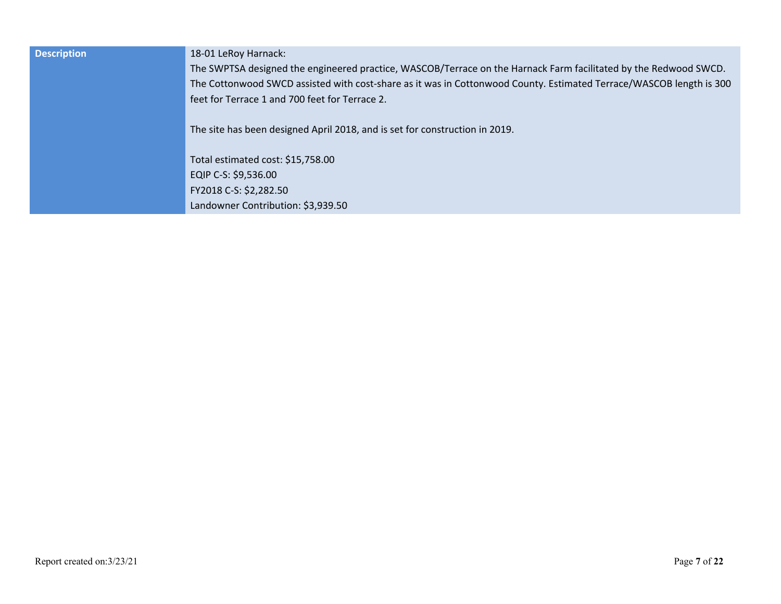| <b>Description</b> | 18-01 LeRoy Harnack:<br>The SWPTSA designed the engineered practice, WASCOB/Terrace on the Harnack Farm facilitated by the Redwood SWCD.<br>The Cottonwood SWCD assisted with cost-share as it was in Cottonwood County. Estimated Terrace/WASCOB length is 300<br>feet for Terrace 1 and 700 feet for Terrace 2.<br>The site has been designed April 2018, and is set for construction in 2019. |
|--------------------|--------------------------------------------------------------------------------------------------------------------------------------------------------------------------------------------------------------------------------------------------------------------------------------------------------------------------------------------------------------------------------------------------|
|                    | Total estimated cost: \$15,758.00<br>EQIP C-S: \$9,536.00<br>FY2018 C-S: \$2,282.50<br>Landowner Contribution: \$3,939.50                                                                                                                                                                                                                                                                        |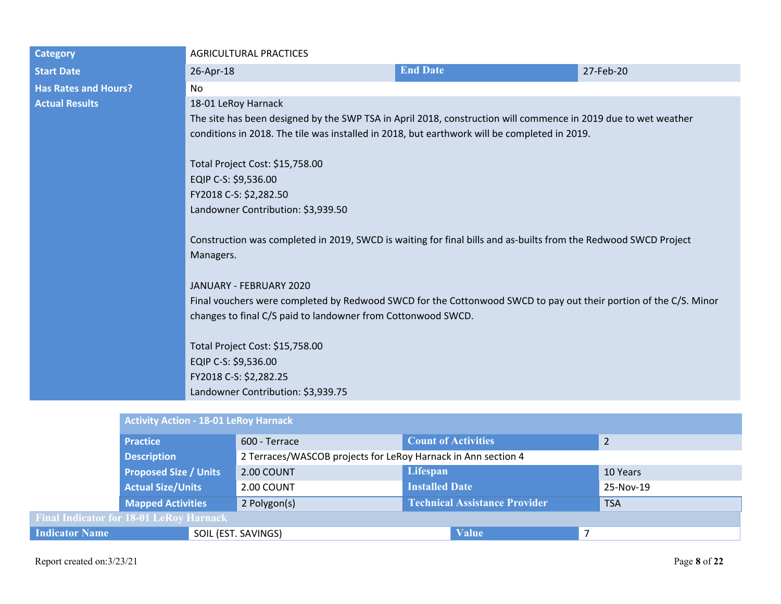| <b>Category</b>             | <b>AGRICULTURAL PRACTICES</b>                                                                                    |                                                                                                                |           |  |  |  |  |
|-----------------------------|------------------------------------------------------------------------------------------------------------------|----------------------------------------------------------------------------------------------------------------|-----------|--|--|--|--|
| <b>Start Date</b>           | 26-Apr-18                                                                                                        | <b>End Date</b>                                                                                                | 27-Feb-20 |  |  |  |  |
| <b>Has Rates and Hours?</b> | No                                                                                                               |                                                                                                                |           |  |  |  |  |
| <b>Actual Results</b>       | 18-01 LeRoy Harnack                                                                                              |                                                                                                                |           |  |  |  |  |
|                             |                                                                                                                  | The site has been designed by the SWP TSA in April 2018, construction will commence in 2019 due to wet weather |           |  |  |  |  |
|                             | conditions in 2018. The tile was installed in 2018, but earthwork will be completed in 2019.                     |                                                                                                                |           |  |  |  |  |
|                             | Total Project Cost: \$15,758.00                                                                                  |                                                                                                                |           |  |  |  |  |
|                             | EQIP C-S: \$9,536.00                                                                                             |                                                                                                                |           |  |  |  |  |
|                             | FY2018 C-S: \$2,282.50                                                                                           |                                                                                                                |           |  |  |  |  |
|                             | Landowner Contribution: \$3,939.50                                                                               |                                                                                                                |           |  |  |  |  |
|                             |                                                                                                                  |                                                                                                                |           |  |  |  |  |
|                             | Construction was completed in 2019, SWCD is waiting for final bills and as-builts from the Redwood SWCD Project  |                                                                                                                |           |  |  |  |  |
|                             | Managers.                                                                                                        |                                                                                                                |           |  |  |  |  |
|                             | JANUARY - FEBRUARY 2020                                                                                          |                                                                                                                |           |  |  |  |  |
|                             | Final vouchers were completed by Redwood SWCD for the Cottonwood SWCD to pay out their portion of the C/S. Minor |                                                                                                                |           |  |  |  |  |
|                             | changes to final C/S paid to landowner from Cottonwood SWCD.                                                     |                                                                                                                |           |  |  |  |  |
|                             |                                                                                                                  |                                                                                                                |           |  |  |  |  |
|                             | Total Project Cost: \$15,758.00                                                                                  |                                                                                                                |           |  |  |  |  |
|                             | EQIP C-S: \$9,536.00                                                                                             |                                                                                                                |           |  |  |  |  |
|                             | FY2018 C-S: \$2,282.25                                                                                           |                                                                                                                |           |  |  |  |  |
|                             | Landowner Contribution: \$3,939.75                                                                               |                                                                                                                |           |  |  |  |  |
|                             | <b>Activity Action - 18-01 LeRoy Harnack</b>                                                                     |                                                                                                                |           |  |  |  |  |
|                             |                                                                                                                  |                                                                                                                |           |  |  |  |  |

|                                                | <b>Practice</b>              | 600 - Terrace                                                 | <b>Count of Activities</b>           | $\overline{2}$ |  |
|------------------------------------------------|------------------------------|---------------------------------------------------------------|--------------------------------------|----------------|--|
| <b>Description</b>                             |                              | 2 Terraces/WASCOB projects for LeRoy Harnack in Ann section 4 |                                      |                |  |
|                                                | <b>Proposed Size / Units</b> | 2.00 COUNT                                                    | Lifespan                             | 10 Years       |  |
|                                                | <b>Actual Size/Units</b>     | 2.00 COUNT                                                    | <b>Installed Date</b>                | 25-Nov-19      |  |
|                                                | <b>Mapped Activities</b>     | 2 Polygon(s)                                                  | <b>Technical Assistance Provider</b> | <b>TSA</b>     |  |
| <b>Final Indicator for 18-01 LeRoy Harnack</b> |                              |                                                               |                                      |                |  |
| <b>Indicator Name</b>                          |                              | SOIL (EST. SAVINGS)                                           | <b>Value</b>                         |                |  |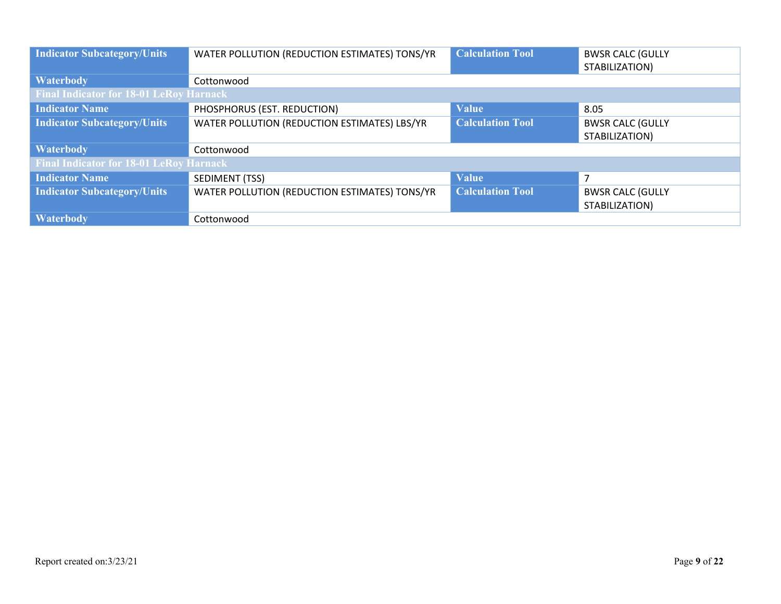| <b>Indicator Subcategory/Units</b>             | WATER POLLUTION (REDUCTION ESTIMATES) TONS/YR | <b>Calculation Tool</b> | <b>BWSR CALC (GULLY</b><br>STABILIZATION) |
|------------------------------------------------|-----------------------------------------------|-------------------------|-------------------------------------------|
| <b>Waterbody</b>                               | Cottonwood                                    |                         |                                           |
| <b>Final Indicator for 18-01 LeRoy Harnack</b> |                                               |                         |                                           |
| <b>Indicator Name</b>                          | PHOSPHORUS (EST. REDUCTION)                   | <b>Value</b>            | 8.05                                      |
| <b>Indicator Subcategory/Units</b>             | WATER POLLUTION (REDUCTION ESTIMATES) LBS/YR  | <b>Calculation Tool</b> | <b>BWSR CALC (GULLY</b>                   |
|                                                |                                               |                         | STABILIZATION)                            |
| <b>Waterbody</b>                               | Cottonwood                                    |                         |                                           |
| <b>Final Indicator for 18-01 LeRoy Harnack</b> |                                               |                         |                                           |
| <b>Indicator Name</b>                          | SEDIMENT (TSS)                                | <b>Value</b>            | 7                                         |
| <b>Indicator Subcategory/Units</b>             | WATER POLLUTION (REDUCTION ESTIMATES) TONS/YR | <b>Calculation Tool</b> | <b>BWSR CALC (GULLY</b>                   |
|                                                |                                               |                         | STABILIZATION)                            |
| <b>Waterbody</b>                               | Cottonwood                                    |                         |                                           |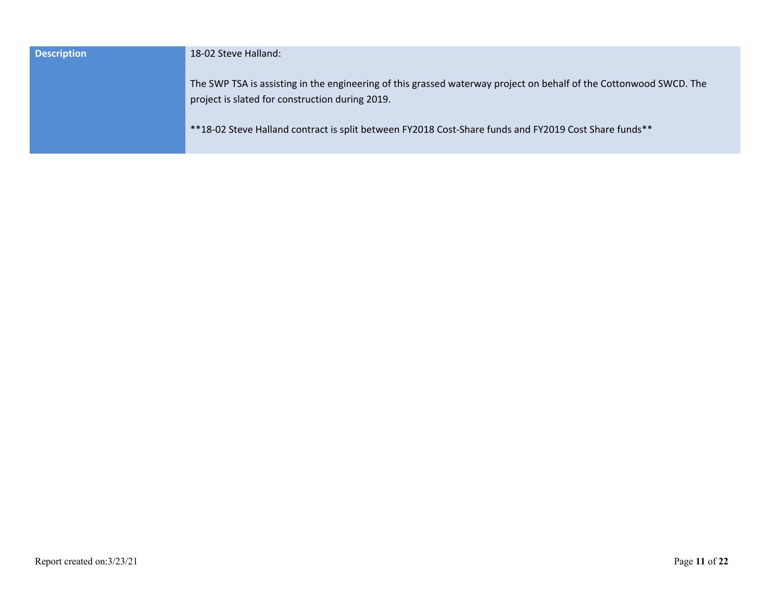| <b>Description</b> | 18-02 Steve Halland:                                                                                                                                                  |
|--------------------|-----------------------------------------------------------------------------------------------------------------------------------------------------------------------|
|                    | The SWP TSA is assisting in the engineering of this grassed waterway project on behalf of the Cottonwood SWCD. The<br>project is slated for construction during 2019. |
|                    | **18-02 Steve Halland contract is split between FY2018 Cost-Share funds and FY2019 Cost Share funds**                                                                 |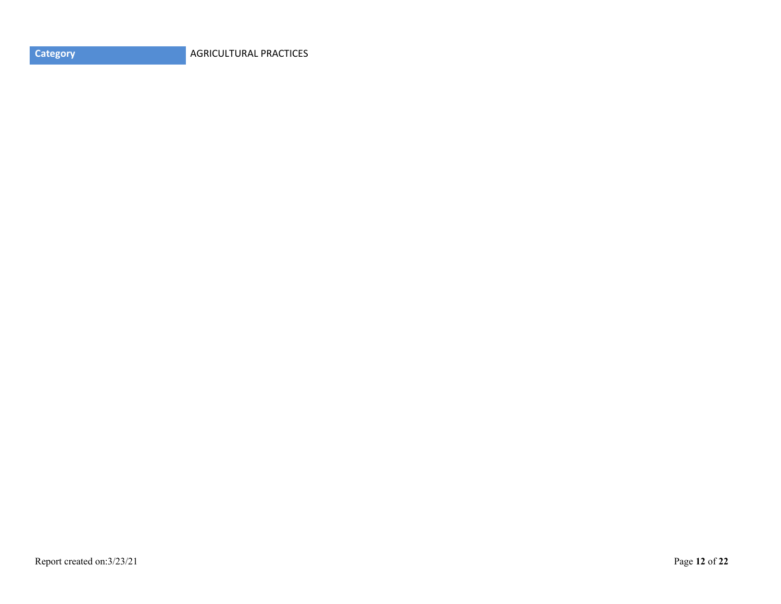**Category AGRICULTURAL PRACTICES**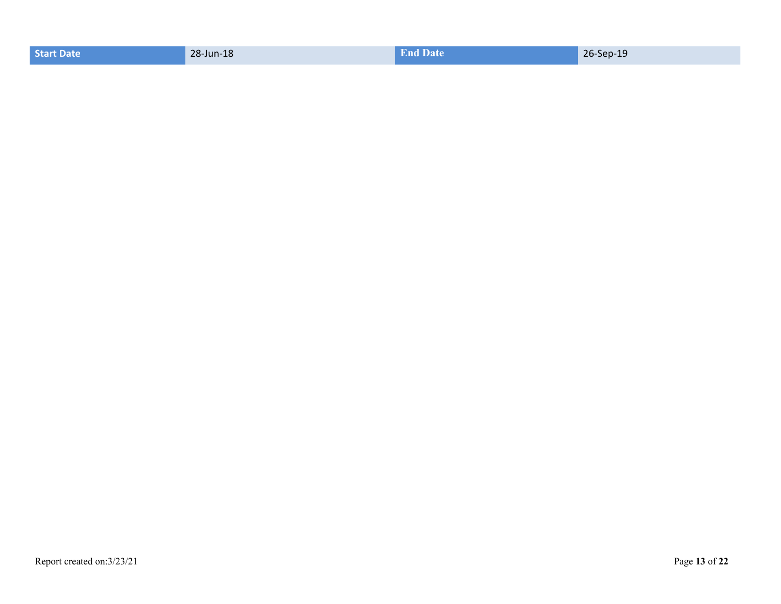| <b>Start Date</b> | 28-Jun-18 | <b>End Date</b> | the company's company's company's<br>26-Sep-19 |
|-------------------|-----------|-----------------|------------------------------------------------|
|                   |           |                 |                                                |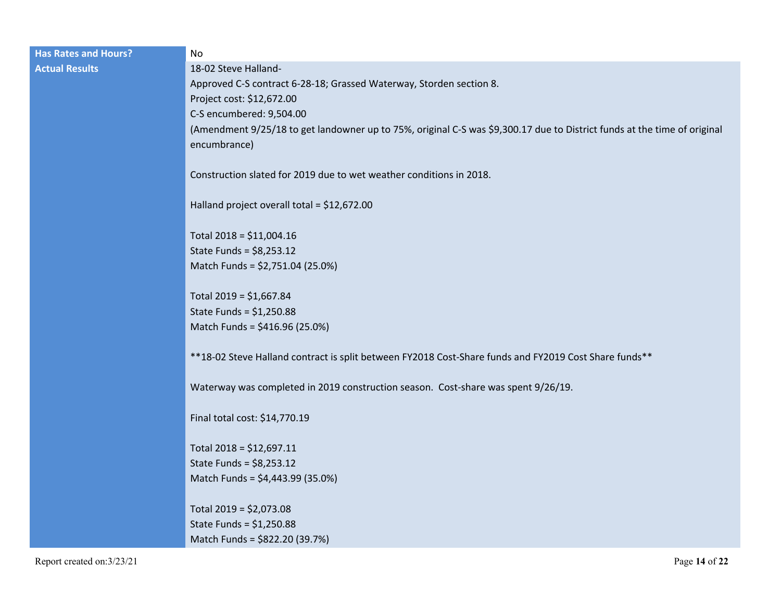| <b>Has Rates and Hours?</b> | No                                                                                                                                       |
|-----------------------------|------------------------------------------------------------------------------------------------------------------------------------------|
| <b>Actual Results</b>       | 18-02 Steve Halland-                                                                                                                     |
|                             | Approved C-S contract 6-28-18; Grassed Waterway, Storden section 8.                                                                      |
|                             | Project cost: \$12,672.00                                                                                                                |
|                             | C-S encumbered: 9,504.00                                                                                                                 |
|                             | (Amendment 9/25/18 to get landowner up to 75%, original C-S was \$9,300.17 due to District funds at the time of original<br>encumbrance) |
|                             | Construction slated for 2019 due to wet weather conditions in 2018.                                                                      |
|                             | Halland project overall total = \$12,672.00                                                                                              |
|                             | Total 2018 = \$11,004.16                                                                                                                 |
|                             | State Funds = $$8,253.12$                                                                                                                |
|                             | Match Funds = \$2,751.04 (25.0%)                                                                                                         |
|                             | Total 2019 = \$1,667.84                                                                                                                  |
|                             | State Funds = $$1,250.88$                                                                                                                |
|                             | Match Funds = \$416.96 (25.0%)                                                                                                           |
|                             | **18-02 Steve Halland contract is split between FY2018 Cost-Share funds and FY2019 Cost Share funds**                                    |
|                             | Waterway was completed in 2019 construction season. Cost-share was spent 9/26/19.                                                        |
|                             | Final total cost: \$14,770.19                                                                                                            |
|                             | Total 2018 = \$12,697.11                                                                                                                 |
|                             | State Funds = $$8,253.12$                                                                                                                |
|                             | Match Funds = \$4,443.99 (35.0%)                                                                                                         |
|                             | Total $2019 = $2,073.08$                                                                                                                 |
|                             | State Funds = $$1,250.88$                                                                                                                |
|                             | Match Funds = \$822.20 (39.7%)                                                                                                           |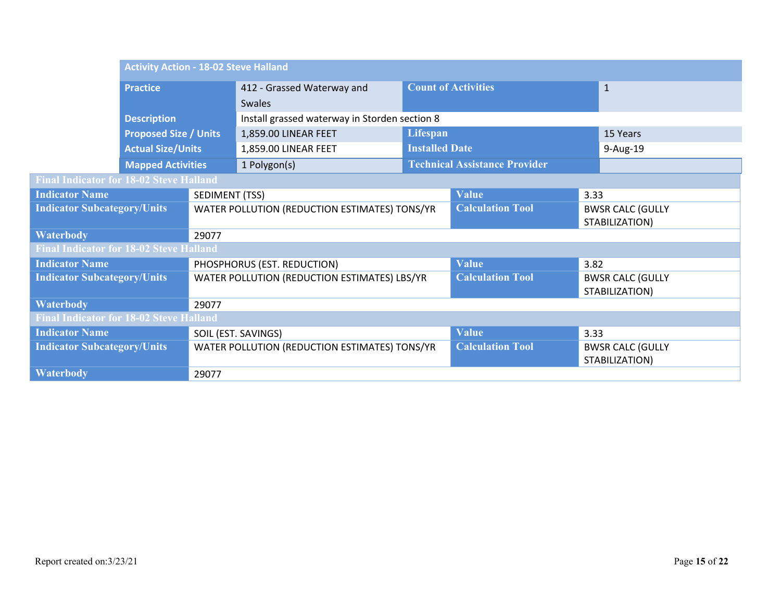|                                                | <b>Activity Action - 18-02 Steve Halland</b> |                                              |                                               |                         |                                      |                                           |                                           |
|------------------------------------------------|----------------------------------------------|----------------------------------------------|-----------------------------------------------|-------------------------|--------------------------------------|-------------------------------------------|-------------------------------------------|
| <b>Practice</b>                                |                                              | 412 - Grassed Waterway and                   | <b>Count of Activities</b>                    |                         |                                      | $\mathbf{1}$                              |                                           |
|                                                |                                              | <b>Swales</b>                                |                                               |                         |                                      |                                           |                                           |
|                                                | <b>Description</b>                           |                                              | Install grassed waterway in Storden section 8 |                         |                                      |                                           |                                           |
|                                                | <b>Proposed Size / Units</b>                 |                                              | 1,859.00 LINEAR FEET                          | Lifespan                |                                      |                                           | 15 Years                                  |
|                                                | <b>Actual Size/Units</b>                     |                                              | 1,859.00 LINEAR FEET                          | <b>Installed Date</b>   |                                      |                                           | 9-Aug-19                                  |
|                                                | <b>Mapped Activities</b>                     |                                              | 1 Polygon(s)                                  |                         | <b>Technical Assistance Provider</b> |                                           |                                           |
| <b>Final Indicator for 18-02 Steve Halland</b> |                                              |                                              |                                               |                         |                                      |                                           |                                           |
| <b>Indicator Name</b>                          |                                              | SEDIMENT (TSS)                               |                                               |                         | <b>Value</b>                         | 3.33                                      |                                           |
| <b>Indicator Subcategory/Units</b>             |                                              |                                              | WATER POLLUTION (REDUCTION ESTIMATES) TONS/YR |                         | <b>Calculation Tool</b>              |                                           | <b>BWSR CALC (GULLY</b>                   |
|                                                |                                              |                                              |                                               |                         |                                      | STABILIZATION)                            |                                           |
| <b>Waterbody</b>                               |                                              | 29077                                        |                                               |                         |                                      |                                           |                                           |
| <b>Final Indicator for 18-02 Steve Halland</b> |                                              |                                              |                                               |                         |                                      |                                           |                                           |
| <b>Indicator Name</b>                          |                                              |                                              | PHOSPHORUS (EST. REDUCTION)                   |                         | <b>Value</b>                         | 3.82                                      |                                           |
| <b>Indicator Subcategory/Units</b>             |                                              | WATER POLLUTION (REDUCTION ESTIMATES) LBS/YR |                                               | <b>Calculation Tool</b> |                                      | <b>BWSR CALC (GULLY</b><br>STABILIZATION) |                                           |
| <b>Waterbody</b><br>29077                      |                                              |                                              |                                               |                         |                                      |                                           |                                           |
| <b>Final Indicator for 18-02 Steve Halland</b> |                                              |                                              |                                               |                         |                                      |                                           |                                           |
| <b>Indicator Name</b>                          |                                              |                                              | SOIL (EST. SAVINGS)                           |                         | <b>Value</b>                         | 3.33                                      |                                           |
| <b>Indicator Subcategory/Units</b>             |                                              |                                              | WATER POLLUTION (REDUCTION ESTIMATES) TONS/YR |                         | <b>Calculation Tool</b>              |                                           | <b>BWSR CALC (GULLY</b><br>STABILIZATION) |
| <b>Waterbody</b>                               |                                              | 29077                                        |                                               |                         |                                      |                                           |                                           |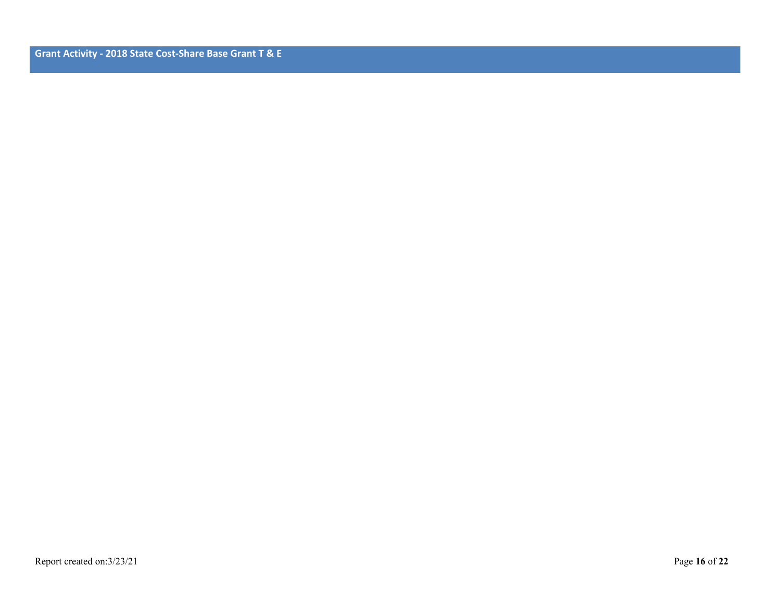**Grant Activity - 2018 State Cost-Share Base Grant T & E**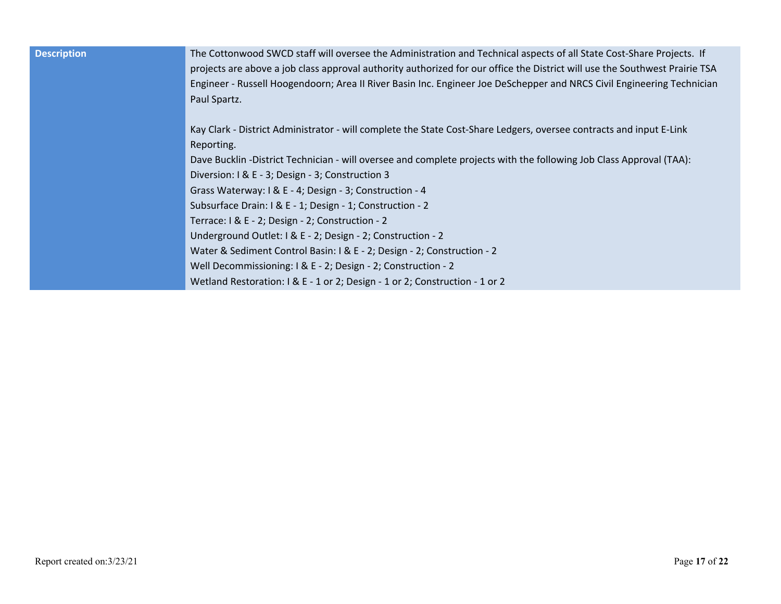| <b>Description</b> | The Cottonwood SWCD staff will oversee the Administration and Technical aspects of all State Cost-Share Projects. If<br>projects are above a job class approval authority authorized for our office the District will use the Southwest Prairie TSA<br>Engineer - Russell Hoogendoorn; Area II River Basin Inc. Engineer Joe DeSchepper and NRCS Civil Engineering Technician<br>Paul Spartz. |
|--------------------|-----------------------------------------------------------------------------------------------------------------------------------------------------------------------------------------------------------------------------------------------------------------------------------------------------------------------------------------------------------------------------------------------|
|                    | Kay Clark - District Administrator - will complete the State Cost-Share Ledgers, oversee contracts and input E-Link<br>Reporting.                                                                                                                                                                                                                                                             |
|                    | Dave Bucklin -District Technician - will oversee and complete projects with the following Job Class Approval (TAA):                                                                                                                                                                                                                                                                           |
|                    | Diversion: I & E - 3; Design - 3; Construction 3                                                                                                                                                                                                                                                                                                                                              |
|                    | Grass Waterway: I & E - 4; Design - 3; Construction - 4                                                                                                                                                                                                                                                                                                                                       |
|                    | Subsurface Drain: I & E - 1; Design - 1; Construction - 2                                                                                                                                                                                                                                                                                                                                     |
|                    | Terrace: I & E - 2; Design - 2; Construction - 2                                                                                                                                                                                                                                                                                                                                              |
|                    | Underground Outlet: I & E - 2; Design - 2; Construction - 2                                                                                                                                                                                                                                                                                                                                   |
|                    | Water & Sediment Control Basin: I & E - 2; Design - 2; Construction - 2                                                                                                                                                                                                                                                                                                                       |
|                    | Well Decommissioning: I & E - 2; Design - 2; Construction - 2                                                                                                                                                                                                                                                                                                                                 |
|                    | Wetland Restoration: I & E - 1 or 2; Design - 1 or 2; Construction - 1 or 2                                                                                                                                                                                                                                                                                                                   |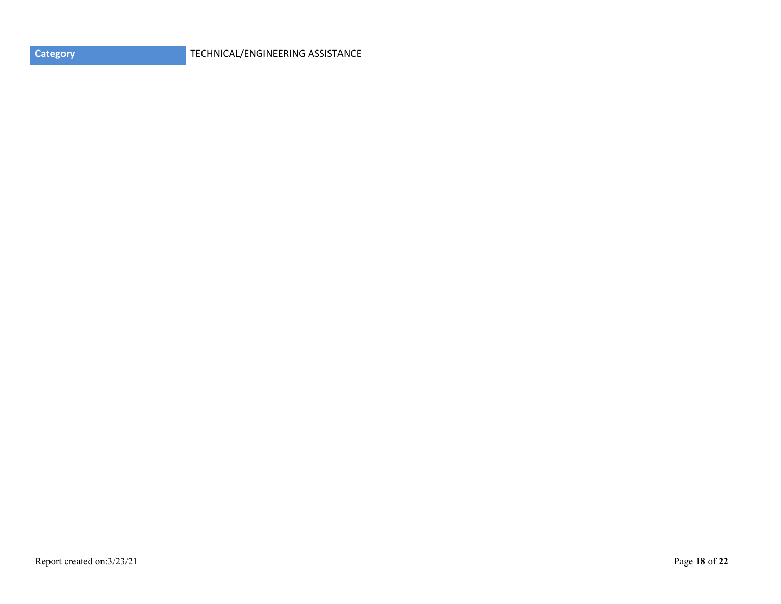| <b>Category</b> |
|-----------------|
|                 |

**CATEGORY** TECHNICAL/ENGINEERING ASSISTANCE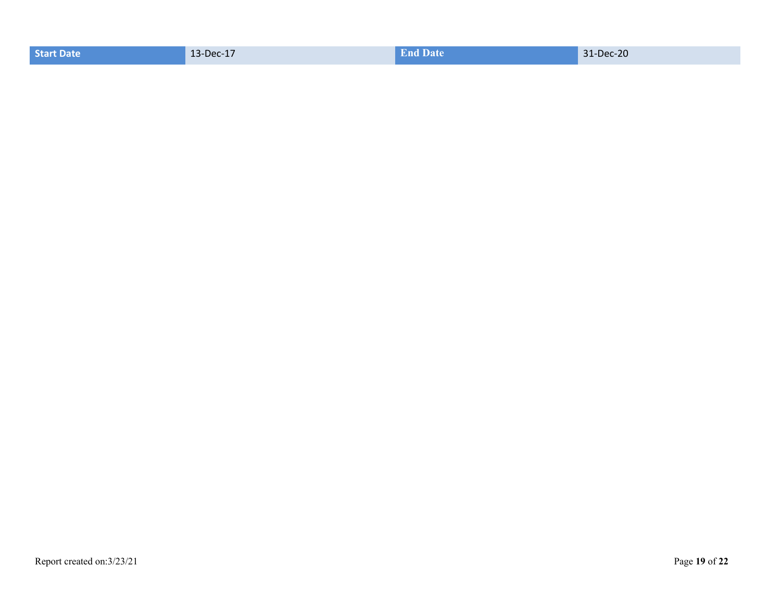| 31-Dec-20<br>13-Dec-17<br><b>Start Date</b><br><b>End Date</b> |  |  |  |  |
|----------------------------------------------------------------|--|--|--|--|
|----------------------------------------------------------------|--|--|--|--|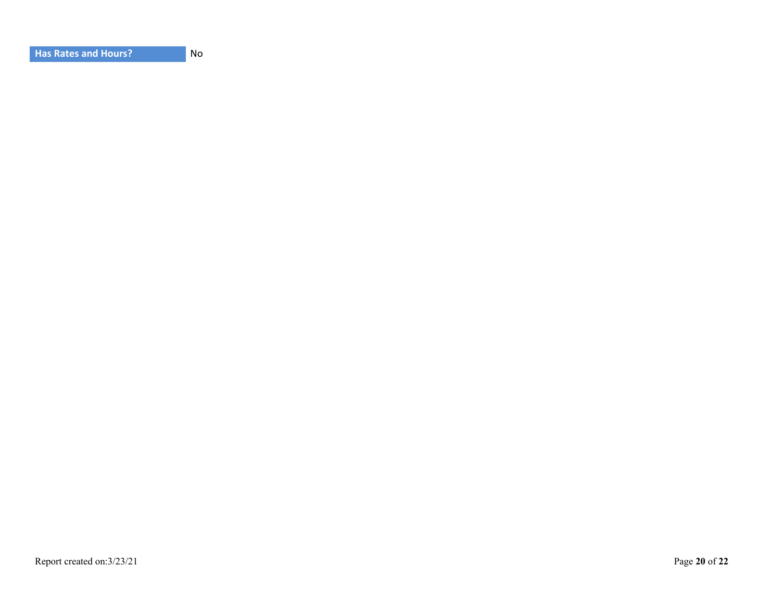| <b>Has Rates and Hours?</b> |  |
|-----------------------------|--|
|-----------------------------|--|

**No**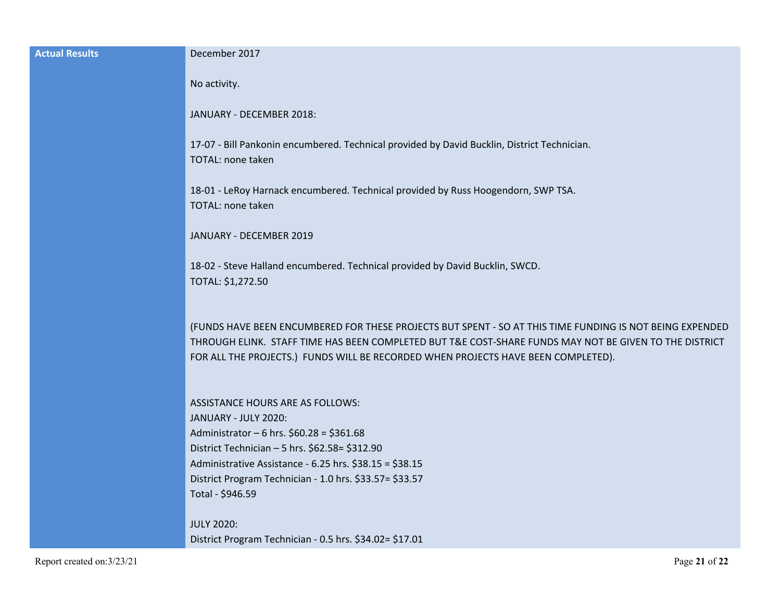| <b>Actual Results</b> | December 2017                                                                                                                                                                                                                                                                                           |
|-----------------------|---------------------------------------------------------------------------------------------------------------------------------------------------------------------------------------------------------------------------------------------------------------------------------------------------------|
|                       | No activity.                                                                                                                                                                                                                                                                                            |
|                       | JANUARY - DECEMBER 2018:                                                                                                                                                                                                                                                                                |
|                       | 17-07 - Bill Pankonin encumbered. Technical provided by David Bucklin, District Technician.<br><b>TOTAL: none taken</b>                                                                                                                                                                                 |
|                       | 18-01 - LeRoy Harnack encumbered. Technical provided by Russ Hoogendorn, SWP TSA.<br><b>TOTAL: none taken</b>                                                                                                                                                                                           |
|                       | JANUARY - DECEMBER 2019                                                                                                                                                                                                                                                                                 |
|                       | 18-02 - Steve Halland encumbered. Technical provided by David Bucklin, SWCD.<br>TOTAL: \$1,272.50                                                                                                                                                                                                       |
|                       | (FUNDS HAVE BEEN ENCUMBERED FOR THESE PROJECTS BUT SPENT - SO AT THIS TIME FUNDING IS NOT BEING EXPENDED<br>THROUGH ELINK. STAFF TIME HAS BEEN COMPLETED BUT T&E COST-SHARE FUNDS MAY NOT BE GIVEN TO THE DISTRICT<br>FOR ALL THE PROJECTS.) FUNDS WILL BE RECORDED WHEN PROJECTS HAVE BEEN COMPLETED). |
|                       | <b>ASSISTANCE HOURS ARE AS FOLLOWS:</b><br>JANUARY - JULY 2020:<br>Administrator - 6 hrs. \$60.28 = \$361.68                                                                                                                                                                                            |
|                       | District Technician - 5 hrs. \$62.58= \$312.90                                                                                                                                                                                                                                                          |
|                       | Administrative Assistance - 6.25 hrs. \$38.15 = \$38.15<br>District Program Technician - 1.0 hrs. \$33.57= \$33.57                                                                                                                                                                                      |
|                       | Total - \$946.59                                                                                                                                                                                                                                                                                        |
|                       | <b>JULY 2020:</b>                                                                                                                                                                                                                                                                                       |
|                       | District Program Technician - 0.5 hrs. \$34.02= \$17.01                                                                                                                                                                                                                                                 |